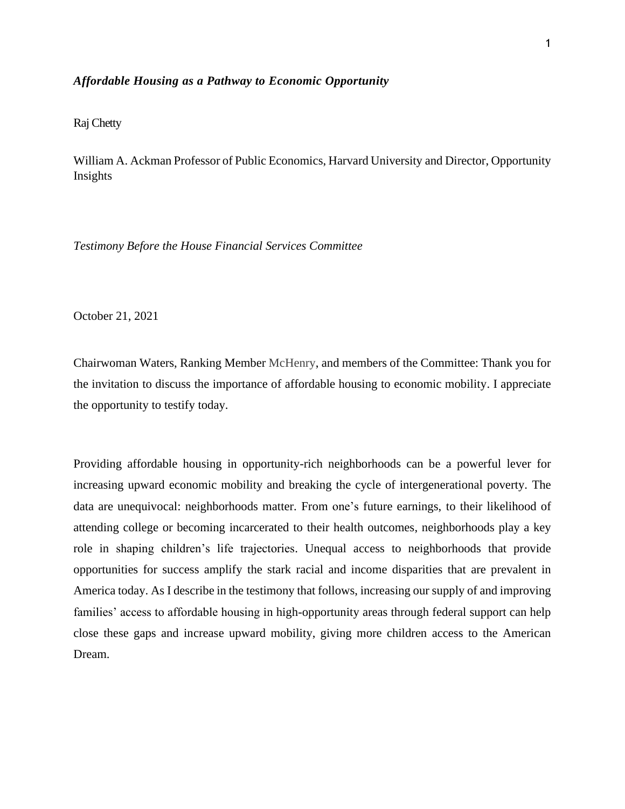### *Affordable Housing as a Pathway to Economic Opportunity*

## Raj Chetty

William A. Ackman Professor of Public Economics, Harvard University and Director, Opportunity Insights

*Testimony Before the House Financial Services Committee*

October 21, 2021

Chairwoman Waters, Ranking Member McHenry, and members of the Committee: Thank you for the invitation to discuss the importance of affordable housing to economic mobility. I appreciate the opportunity to testify today.

Providing affordable housing in opportunity-rich neighborhoods can be a powerful lever for increasing upward economic mobility and breaking the cycle of intergenerational poverty. The data are unequivocal: neighborhoods matter. From one's future earnings, to their likelihood of attending college or becoming incarcerated to their health outcomes, neighborhoods play a key role in shaping children's life trajectories. Unequal access to neighborhoods that provide opportunities for success amplify the stark racial and income disparities that are prevalent in America today. As I describe in the testimony that follows, increasing our supply of and improving families' access to affordable housing in high-opportunity areas through federal support can help close these gaps and increase upward mobility, giving more children access to the American Dream.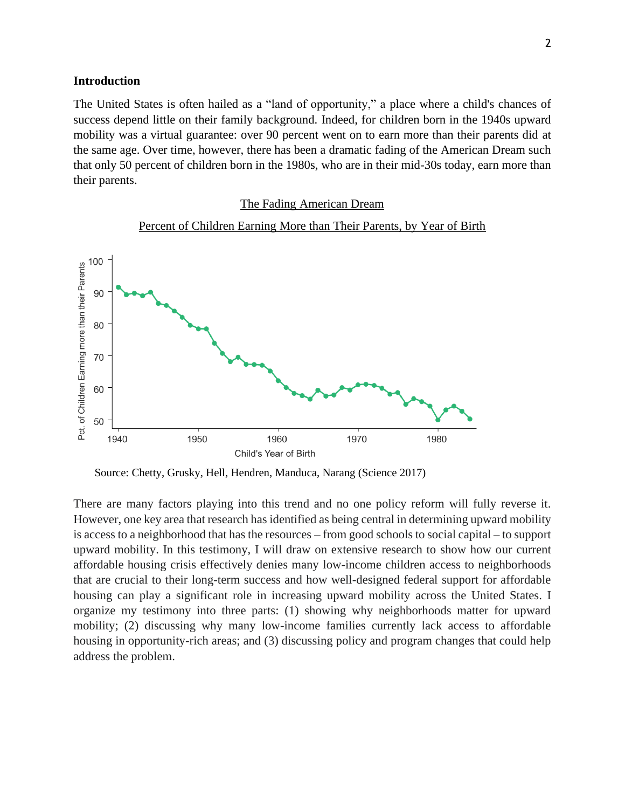### **Introduction**

The United States is often hailed as a "land of opportunity," a place where a child's chances of success depend little on their family background. Indeed, for children born in the 1940s upward mobility was a virtual guarantee: over 90 percent went on to earn more than their parents did at the same age. Over time, however, there has been a dramatic fading of the American Dream such that only 50 percent of children born in the 1980s, who are in their mid-30s today, earn more than their parents.

#### The Fading American Dream



### Percent of Children Earning More than Their Parents, by Year of Birth

Source: Chetty, Grusky, Hell, Hendren, Manduca, Narang (Science 2017)

There are many factors playing into this trend and no one policy reform will fully reverse it. However, one key area that research has identified as being central in determining upward mobility is access to a neighborhood that has the resources – from good schools to social capital – to support upward mobility. In this testimony, I will draw on extensive research to show how our current affordable housing crisis effectively denies many low-income children access to neighborhoods that are crucial to their long-term success and how well-designed federal support for affordable housing can play a significant role in increasing upward mobility across the United States. I organize my testimony into three parts: (1) showing why neighborhoods matter for upward mobility; (2) discussing why many low-income families currently lack access to affordable housing in opportunity-rich areas; and (3) discussing policy and program changes that could help address the problem.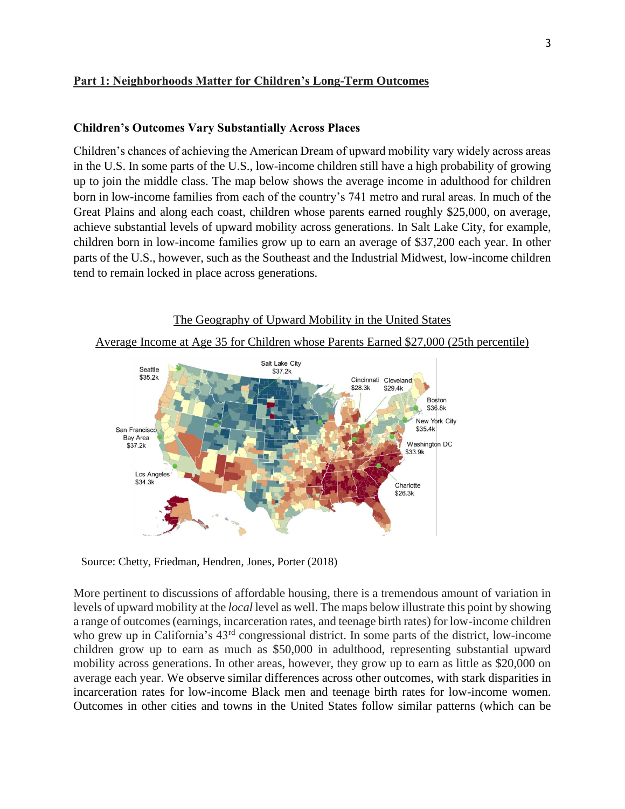## **Part 1: Neighborhoods Matter for Children's Long-Term Outcomes**

## **Children's Outcomes Vary Substantially Across Places**

Children's chances of achieving the American Dream of upward mobility vary widely across areas in the U.S. In some parts of the U.S., low-income children still have a high probability of growing up to join the middle class. The map below shows the average income in adulthood for children born in low-income families from each of the country's 741 metro and rural areas. In much of the Great Plains and along each coast, children whose parents earned roughly \$25,000, on average, achieve substantial levels of upward mobility across generations. In Salt Lake City, for example, children born in low-income families grow up to earn an average of \$37,200 each year. In other parts of the U.S., however, such as the Southeast and the Industrial Midwest, low-income children tend to remain locked in place across generations.



Source: Chetty, Friedman, Hendren, Jones, Porter (2018)

More pertinent to discussions of affordable housing, there is a tremendous amount of variation in levels of upward mobility at the *local* level as well. The maps below illustrate this point by showing a range of outcomes (earnings, incarceration rates, and teenage birth rates) for low-income children who grew up in California's  $43<sup>rd</sup>$  congressional district. In some parts of the district, low-income children grow up to earn as much as \$50,000 in adulthood, representing substantial upward mobility across generations. In other areas, however, they grow up to earn as little as \$20,000 on average each year. We observe similar differences across other outcomes, with stark disparities in incarceration rates for low-income Black men and teenage birth rates for low-income women. Outcomes in other cities and towns in the United States follow similar patterns (which can be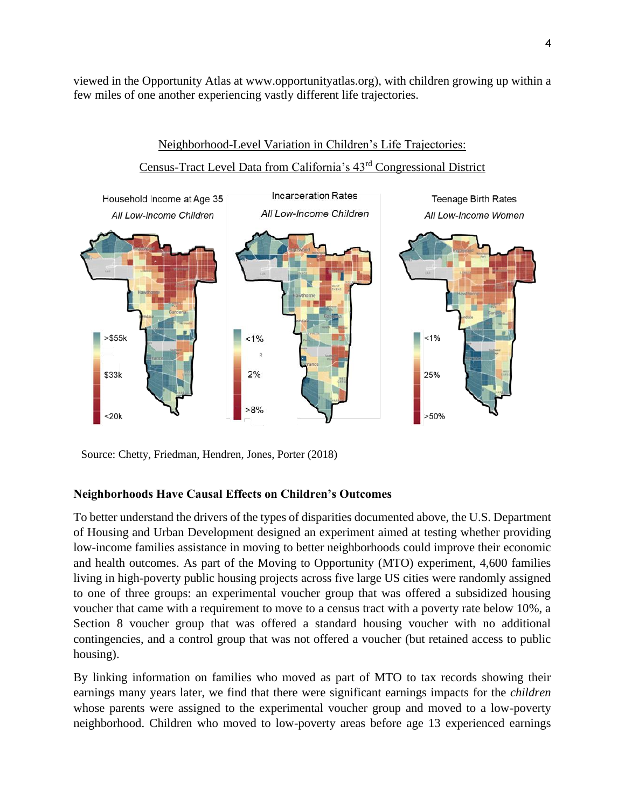viewed in the Opportunity Atlas at www.opportunityatlas.org), with children growing up within a few miles of one another experiencing vastly different life trajectories.



Neighborhood-Level Variation in Children's Life Trajectories:

Source: Chetty, Friedman, Hendren, Jones, Porter (2018)

## **Neighborhoods Have Causal Effects on Children's Outcomes**

To better understand the drivers of the types of disparities documented above, the U.S. Department of Housing and Urban Development designed an experiment aimed at testing whether providing low-income families assistance in moving to better neighborhoods could improve their economic and health outcomes. As part of the Moving to Opportunity (MTO) experiment, 4,600 families living in high-poverty public housing projects across five large US cities were randomly assigned to one of three groups: an experimental voucher group that was offered a subsidized housing voucher that came with a requirement to move to a census tract with a poverty rate below 10%, a Section 8 voucher group that was offered a standard housing voucher with no additional contingencies, and a control group that was not offered a voucher (but retained access to public housing).

By linking information on families who moved as part of MTO to tax records showing their earnings many years later, we find that there were significant earnings impacts for the *children* whose parents were assigned to the experimental voucher group and moved to a low-poverty neighborhood. Children who moved to low-poverty areas before age 13 experienced earnings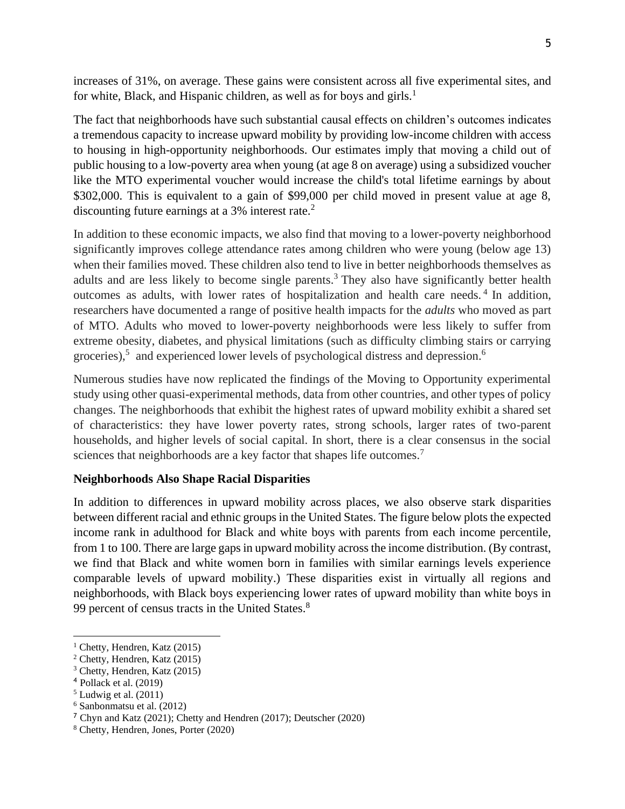increases of 31%, on average. These gains were consistent across all five experimental sites, and for white, Black, and Hispanic children, as well as for boys and girls.<sup>1</sup>

The fact that neighborhoods have such substantial causal effects on children's outcomes indicates a tremendous capacity to increase upward mobility by providing low-income children with access to housing in high-opportunity neighborhoods. Our estimates imply that moving a child out of public housing to a low-poverty area when young (at age 8 on average) using a subsidized voucher like the MTO experimental voucher would increase the child's total lifetime earnings by about \$302,000. This is equivalent to a gain of \$99,000 per child moved in present value at age 8, discounting future earnings at a 3% interest rate.<sup>2</sup>

In addition to these economic impacts, we also find that moving to a lower-poverty neighborhood significantly improves college attendance rates among children who were young (below age 13) when their families moved. These children also tend to live in better neighborhoods themselves as adults and are less likely to become single parents.<sup>3</sup> They also have significantly better health outcomes as adults, with lower rates of hospitalization and health care needs.<sup>4</sup> In addition, researchers have documented a range of positive health impacts for the *adults* who moved as part of MTO. Adults who moved to lower-poverty neighborhoods were less likely to suffer from extreme obesity, diabetes, and physical limitations (such as difficulty climbing stairs or carrying groceries),<sup>5</sup> and experienced lower levels of psychological distress and depression.<sup>6</sup>

Numerous studies have now replicated the findings of the Moving to Opportunity experimental study using other quasi-experimental methods, data from other countries, and other types of policy changes. The neighborhoods that exhibit the highest rates of upward mobility exhibit a shared set of characteristics: they have lower poverty rates, strong schools, larger rates of two-parent households, and higher levels of social capital. In short, there is a clear consensus in the social sciences that neighborhoods are a key factor that shapes life outcomes.<sup>7</sup>

### **Neighborhoods Also Shape Racial Disparities**

In addition to differences in upward mobility across places, we also observe stark disparities between different racial and ethnic groups in the United States. The figure below plots the expected income rank in adulthood for Black and white boys with parents from each income percentile, from 1 to 100. There are large gaps in upward mobility across the income distribution. (By contrast, we find that Black and white women born in families with similar earnings levels experience comparable levels of upward mobility.) These disparities exist in virtually all regions and neighborhoods, with Black boys experiencing lower rates of upward mobility than white boys in 99 percent of census tracts in the United States.<sup>8</sup>

<sup>&</sup>lt;sup>1</sup> Chetty, Hendren, Katz  $(2015)$ 

<sup>2</sup> Chetty, Hendren, Katz (2015)

<sup>3</sup> Chetty, Hendren, Katz (2015)

<sup>4</sup> Pollack et al. (2019)

 $<sup>5</sup>$  Ludwig et al. (2011)</sup>

<sup>6</sup> Sanbonmatsu et al. (2012)

<sup>7</sup> Chyn and Katz (2021); Chetty and Hendren (2017); Deutscher (2020)

<sup>8</sup> Chetty, Hendren, Jones, Porter (2020)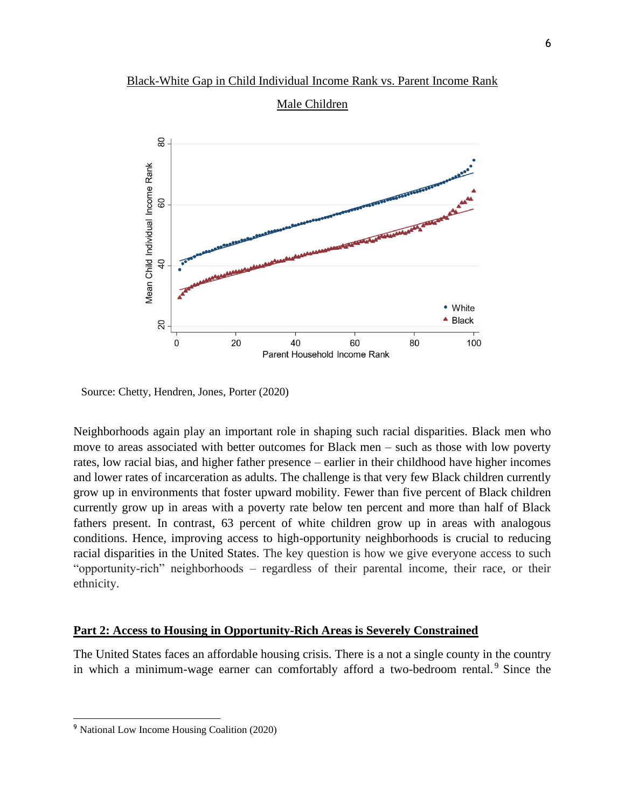

Source: Chetty, Hendren, Jones, Porter (2020)

Neighborhoods again play an important role in shaping such racial disparities. Black men who move to areas associated with better outcomes for Black men – such as those with low poverty rates, low racial bias, and higher father presence – earlier in their childhood have higher incomes and lower rates of incarceration as adults. The challenge is that very few Black children currently grow up in environments that foster upward mobility. Fewer than five percent of Black children currently grow up in areas with a poverty rate below ten percent and more than half of Black fathers present. In contrast, 63 percent of white children grow up in areas with analogous conditions. Hence, improving access to high-opportunity neighborhoods is crucial to reducing racial disparities in the United States. The key question is how we give everyone access to such "opportunity-rich" neighborhoods – regardless of their parental income, their race, or their ethnicity.

### **Part 2: Access to Housing in Opportunity-Rich Areas is Severely Constrained**

The United States faces an affordable housing crisis. There is a not a single county in the country in which a minimum-wage earner can comfortably afford a two-bedroom rental.<sup>9</sup> Since the

<sup>9</sup> National Low Income Housing Coalition (2020)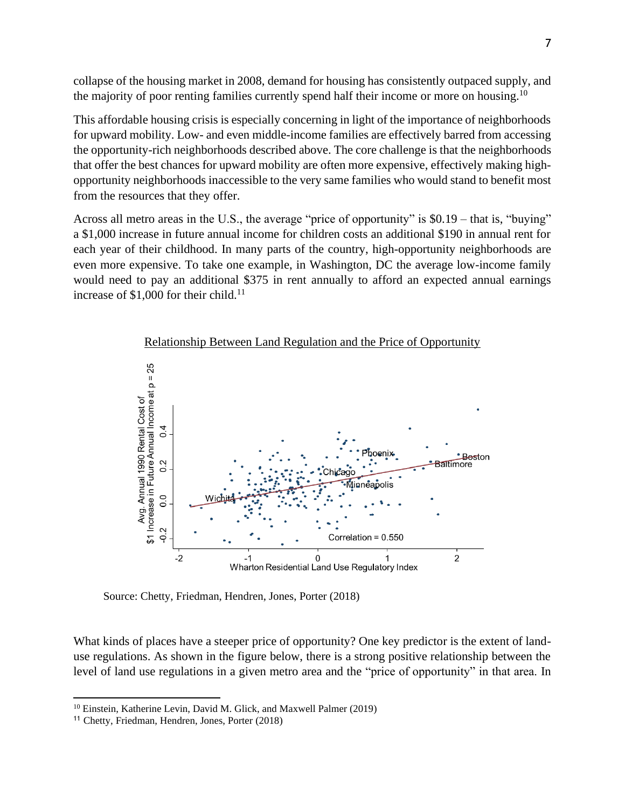collapse of the housing market in 2008, demand for housing has consistently outpaced supply, and the majority of poor renting families currently spend half their income or more on housing.<sup>10</sup>

This affordable housing crisis is especially concerning in light of the importance of neighborhoods for upward mobility. Low- and even middle-income families are effectively barred from accessing the opportunity-rich neighborhoods described above. The core challenge is that the neighborhoods that offer the best chances for upward mobility are often more expensive, effectively making highopportunity neighborhoods inaccessible to the very same families who would stand to benefit most from the resources that they offer.

Across all metro areas in the U.S., the average "price of opportunity" is \$0.19 – that is, "buying" a \$1,000 increase in future annual income for children costs an additional \$190 in annual rent for each year of their childhood. In many parts of the country, high-opportunity neighborhoods are even more expensive. To take one example, in Washington, DC the average low-income family would need to pay an additional \$375 in rent annually to afford an expected annual earnings increase of \$1,000 for their child. 11



Relationship Between Land Regulation and the Price of Opportunity

Source: Chetty, Friedman, Hendren, Jones, Porter (2018)

What kinds of places have a steeper price of opportunity? One key predictor is the extent of landuse regulations. As shown in the figure below, there is a strong positive relationship between the level of land use regulations in a given metro area and the "price of opportunity" in that area. In

<sup>&</sup>lt;sup>10</sup> Einstein, Katherine Levin, David M. Glick, and Maxwell Palmer (2019)

<sup>11</sup> Chetty, Friedman, Hendren, Jones, Porter (2018)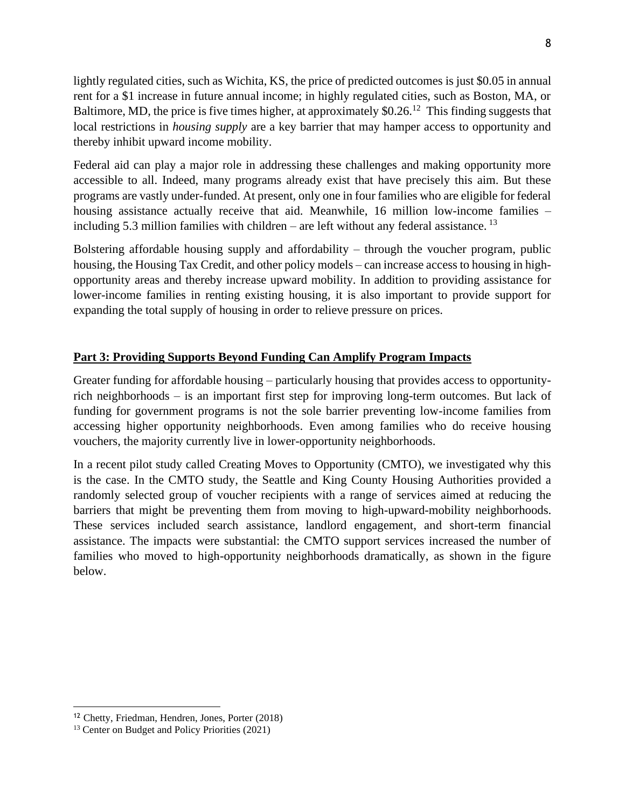lightly regulated cities, such as Wichita, KS, the price of predicted outcomes is just \$0.05 in annual rent for a \$1 increase in future annual income; in highly regulated cities, such as Boston, MA, or Baltimore, MD, the price is five times higher, at approximately  $$0.26$ <sup>12</sup> This finding suggests that local restrictions in *housing supply* are a key barrier that may hamper access to opportunity and thereby inhibit upward income mobility.

Federal aid can play a major role in addressing these challenges and making opportunity more accessible to all. Indeed, many programs already exist that have precisely this aim. But these programs are vastly under-funded. At present, only one in four families who are eligible for federal housing assistance actually receive that aid. Meanwhile, 16 million low-income families – including 5.3 million families with children – are left without any federal assistance.  $^{13}$ 

Bolstering affordable housing supply and affordability – through the voucher program, public housing, the Housing Tax Credit, and other policy models – can increase access to housing in highopportunity areas and thereby increase upward mobility. In addition to providing assistance for lower-income families in renting existing housing, it is also important to provide support for expanding the total supply of housing in order to relieve pressure on prices.

# **Part 3: Providing Supports Beyond Funding Can Amplify Program Impacts**

Greater funding for affordable housing – particularly housing that provides access to opportunityrich neighborhoods – is an important first step for improving long-term outcomes. But lack of funding for government programs is not the sole barrier preventing low-income families from accessing higher opportunity neighborhoods. Even among families who do receive housing vouchers, the majority currently live in lower-opportunity neighborhoods.

In a recent pilot study called Creating Moves to Opportunity (CMTO), we investigated why this is the case. In the CMTO study, the Seattle and King County Housing Authorities provided a randomly selected group of voucher recipients with a range of services aimed at reducing the barriers that might be preventing them from moving to high-upward-mobility neighborhoods. These services included search assistance, landlord engagement, and short-term financial assistance. The impacts were substantial: the CMTO support services increased the number of families who moved to high-opportunity neighborhoods dramatically, as shown in the figure below.

<sup>12</sup> Chetty, Friedman, Hendren, Jones, Porter (2018)

<sup>13</sup> Center on Budget and Policy Priorities (2021)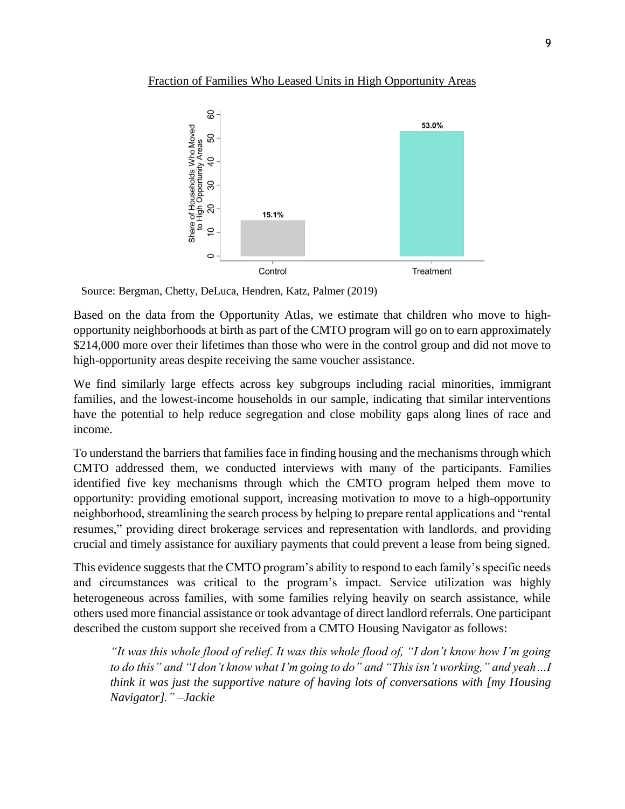### Fraction of Families Who Leased Units in High Opportunity Areas



Source: Bergman, Chetty, DeLuca, Hendren, Katz, Palmer (2019)

Based on the data from the Opportunity Atlas, we estimate that children who move to highopportunity neighborhoods at birth as part of the CMTO program will go on to earn approximately \$214,000 more over their lifetimes than those who were in the control group and did not move to high-opportunity areas despite receiving the same voucher assistance.

We find similarly large effects across key subgroups including racial minorities, immigrant families, and the lowest-income households in our sample, indicating that similar interventions have the potential to help reduce segregation and close mobility gaps along lines of race and income.

To understand the barriers that families face in finding housing and the mechanisms through which CMTO addressed them, we conducted interviews with many of the participants. Families identified five key mechanisms through which the CMTO program helped them move to opportunity: providing emotional support, increasing motivation to move to a high-opportunity neighborhood, streamlining the search process by helping to prepare rental applications and "rental resumes," providing direct brokerage services and representation with landlords, and providing crucial and timely assistance for auxiliary payments that could prevent a lease from being signed.

This evidence suggests that the CMTO program's ability to respond to each family's specific needs and circumstances was critical to the program's impact. Service utilization was highly heterogeneous across families, with some families relying heavily on search assistance, while others used more financial assistance or took advantage of direct landlord referrals. One participant described the custom support she received from a CMTO Housing Navigator as follows:

*"It was this whole flood of relief. It was this whole flood of, "I don't know how I'm going to do this" and "I don't know what I'm going to do" and "This isn't working," and yeah…I think it was just the supportive nature of having lots of conversations with [my Housing Navigator]." –Jackie*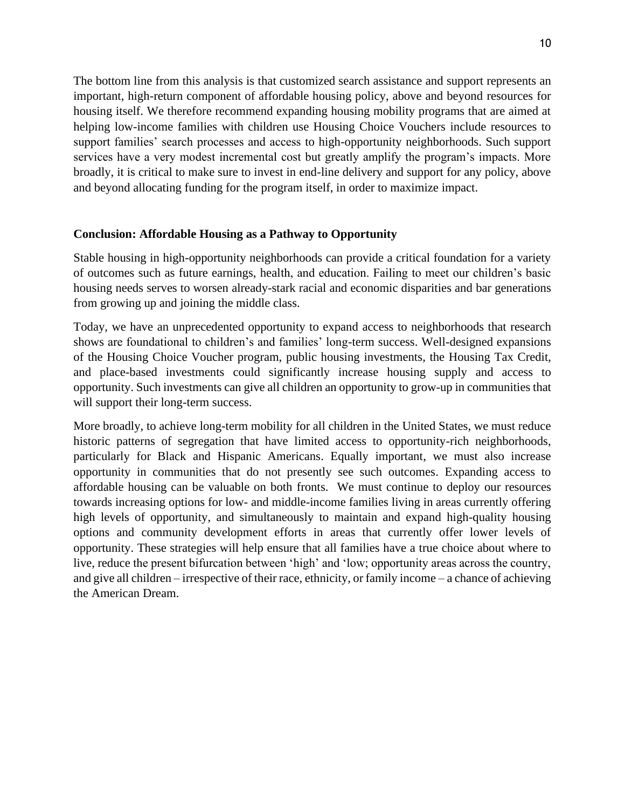The bottom line from this analysis is that customized search assistance and support represents an important, high-return component of affordable housing policy, above and beyond resources for housing itself. We therefore recommend expanding housing mobility programs that are aimed at helping low-income families with children use Housing Choice Vouchers include resources to support families' search processes and access to high-opportunity neighborhoods. Such support services have a very modest incremental cost but greatly amplify the program's impacts. More broadly, it is critical to make sure to invest in end-line delivery and support for any policy, above and beyond allocating funding for the program itself, in order to maximize impact.

## **Conclusion: Affordable Housing as a Pathway to Opportunity**

Stable housing in high-opportunity neighborhoods can provide a critical foundation for a variety of outcomes such as future earnings, health, and education. Failing to meet our children's basic housing needs serves to worsen already-stark racial and economic disparities and bar generations from growing up and joining the middle class.

Today, we have an unprecedented opportunity to expand access to neighborhoods that research shows are foundational to children's and families' long-term success. Well-designed expansions of the Housing Choice Voucher program, public housing investments, the Housing Tax Credit, and place-based investments could significantly increase housing supply and access to opportunity. Such investments can give all children an opportunity to grow-up in communities that will support their long-term success.

More broadly, to achieve long-term mobility for all children in the United States, we must reduce historic patterns of segregation that have limited access to opportunity-rich neighborhoods, particularly for Black and Hispanic Americans. Equally important, we must also increase opportunity in communities that do not presently see such outcomes. Expanding access to affordable housing can be valuable on both fronts. We must continue to deploy our resources towards increasing options for low- and middle-income families living in areas currently offering high levels of opportunity, and simultaneously to maintain and expand high-quality housing options and community development efforts in areas that currently offer lower levels of opportunity. These strategies will help ensure that all families have a true choice about where to live, reduce the present bifurcation between 'high' and 'low; opportunity areas across the country, and give all children – irrespective of their race, ethnicity, or family income – a chance of achieving the American Dream.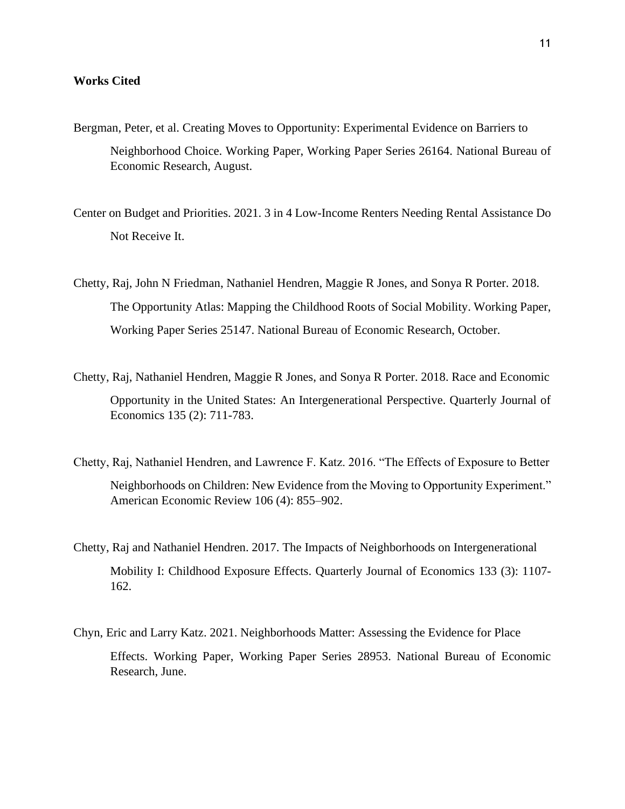### **Works Cited**

- Bergman, Peter, et al. Creating Moves to Opportunity: Experimental Evidence on Barriers to Neighborhood Choice. Working Paper, Working Paper Series 26164. National Bureau of Economic Research, August.
- Center on Budget and Priorities. 2021. 3 in 4 Low-Income Renters Needing Rental Assistance Do Not Receive It.
- Chetty, Raj, John N Friedman, Nathaniel Hendren, Maggie R Jones, and Sonya R Porter. 2018. The Opportunity Atlas: Mapping the Childhood Roots of Social Mobility. Working Paper, Working Paper Series 25147. National Bureau of Economic Research, October.
- Chetty, Raj, Nathaniel Hendren, Maggie R Jones, and Sonya R Porter. 2018. Race and Economic Opportunity in the United States: An Intergenerational Perspective. Quarterly Journal of Economics 135 (2): 711-783.
- Chetty, Raj, Nathaniel Hendren, and Lawrence F. Katz. 2016. "The Effects of Exposure to Better Neighborhoods on Children: New Evidence from the Moving to Opportunity Experiment." American Economic Review 106 (4): 855–902.
- Chetty, Raj and Nathaniel Hendren. 2017. The Impacts of Neighborhoods on Intergenerational Mobility I: Childhood Exposure Effects. Quarterly Journal of Economics 133 (3): 1107- 162.
- Chyn, Eric and Larry Katz. 2021. Neighborhoods Matter: Assessing the Evidence for Place Effects. Working Paper, Working Paper Series 28953. National Bureau of Economic Research, June.